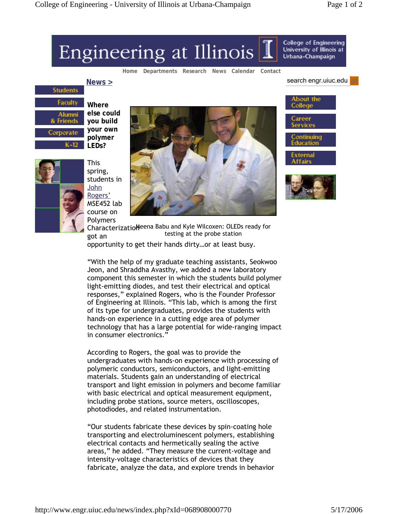## Engineering at Illinois

**Home Departments Research News Calendar Contact**

search engr.uiuc.edu

About the

ontinuing<br>Iucation

External

College

Career

College of Engineering

University of Illinois at Urbana-Champaign



**Where else could you build your own polymer LEDs?**



This spring, students in John Rogers' MSE452 lab course on Polymers



Characterizatio Meena Babu and Kyle Wilcoxen: OLEDs ready for got an opportunity to get their hands dirty…or at least busy. testing at the probe station

"With the help of my graduate teaching assistants, Seokwoo Jeon, and Shraddha Avasthy, we added a new laboratory component this semester in which the students build polymer light-emitting diodes, and test their electrical and optical responses," explained Rogers, who is the Founder Professor of Engineering at Illinois. "This lab, which is among the first of its type for undergraduates, provides the students with hands-on experience in a cutting edge area of polymer technology that has a large potential for wide-ranging impact in consumer electronics."

According to Rogers, the goal was to provide the undergraduates with hands-on experience with processing of polymeric conductors, semiconductors, and light-emitting materials. Students gain an understanding of electrical transport and light emission in polymers and become familiar with basic electrical and optical measurement equipment, including probe stations, source meters, oscilloscopes, photodiodes, and related instrumentation.

"Our students fabricate these devices by spin-coating hole transporting and electroluminescent polymers, establishing electrical contacts and hermetically sealing the active areas," he added. "They measure the current-voltage and intensity-voltage characteristics of devices that they fabricate, analyze the data, and explore trends in behavior